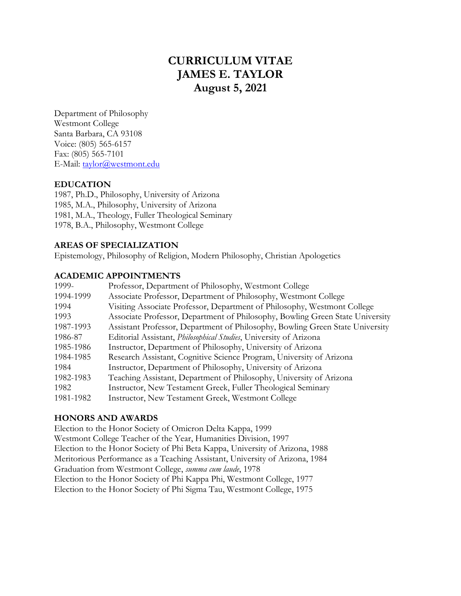# **CURRICULUM VITAE JAMES E. TAYLOR August 5, 2021**

Department of Philosophy Westmont College Santa Barbara, CA 93108 Voice: (805) 565-6157 Fax: (805) 565-7101 E-Mail: taylor@westmont.edu

# **EDUCATION**

1987, Ph.D., Philosophy, University of Arizona 1985, M.A., Philosophy, University of Arizona 1981, M.A., Theology, Fuller Theological Seminary 1978, B.A., Philosophy, Westmont College

#### **AREAS OF SPECIALIZATION**

Epistemology, Philosophy of Religion, Modern Philosophy, Christian Apologetics

#### **ACADEMIC APPOINTMENTS**

| 1999-     | Professor, Department of Philosophy, Westmont College                         |
|-----------|-------------------------------------------------------------------------------|
| 1994-1999 | Associate Professor, Department of Philosophy, Westmont College               |
| 1994      | Visiting Associate Professor, Department of Philosophy, Westmont College      |
| 1993      | Associate Professor, Department of Philosophy, Bowling Green State University |
| 1987-1993 | Assistant Professor, Department of Philosophy, Bowling Green State University |
| 1986-87   | Editorial Assistant, Philosophical Studies, University of Arizona             |
| 1985-1986 | Instructor, Department of Philosophy, University of Arizona                   |
| 1984-1985 | Research Assistant, Cognitive Science Program, University of Arizona          |
| 1984      | Instructor, Department of Philosophy, University of Arizona                   |
| 1982-1983 | Teaching Assistant, Department of Philosophy, University of Arizona           |
| 1982      | Instructor, New Testament Greek, Fuller Theological Seminary                  |
| 1981-1982 | Instructor, New Testament Greek, Westmont College                             |

#### **HONORS AND AWARDS**

Election to the Honor Society of Omicron Delta Kappa, 1999 Westmont College Teacher of the Year, Humanities Division, 1997 Election to the Honor Society of Phi Beta Kappa, University of Arizona, 1988 Meritorious Performance as a Teaching Assistant, University of Arizona, 1984 Graduation from Westmont College, *summa cum laude*, 1978 Election to the Honor Society of Phi Kappa Phi, Westmont College, 1977 Election to the Honor Society of Phi Sigma Tau, Westmont College, 1975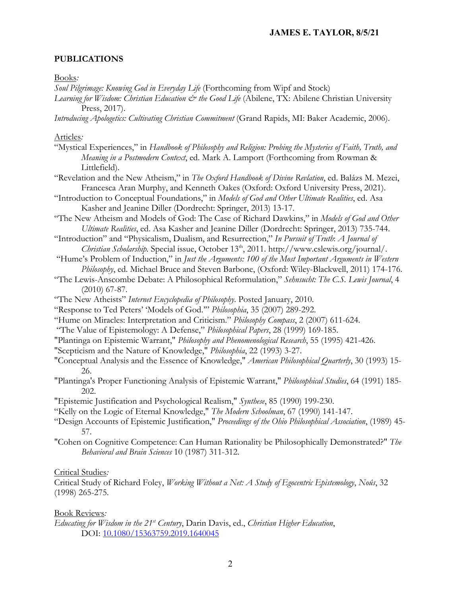## **PUBLICATIONS**

#### Books*:*

*Soul Pilgrimage: Knowing God in Everyday Life* (Forthcoming from Wipf and Stock)

- Learning for Wisdom: Christian Education & the Good Life (Abilene, TX: Abilene Christian University Press, 2017).
- *Introducing Apologetics: Cultivating Christian Commitment* (Grand Rapids, MI: Baker Academic, 2006).

#### Articles*:*

- "Mystical Experiences," in *Handbook of Philosophy and Religion: Probing the Mysteries of Faith, Truth, and Meaning in a Postmodern Context*, ed. Mark A. Lamport (Forthcoming from Rowman & Littlefield).
- "Revelation and the New Atheism," in *The Oxford Handbook of Divine Revlation*, ed. Balázs M. Mezei, Francesca Aran Murphy, and Kenneth Oakes (Oxford: Oxford University Press, 2021).
- "Introduction to Conceptual Foundations," in *Models of God and Other Ultimate Realities*, ed. Asa Kasher and Jeanine Diller (Dordrecht: Springer, 2013) 13-17.
- "The New Atheism and Models of God: The Case of Richard Dawkins," in *Models of God and Other Ultimate Realities*, ed. Asa Kasher and Jeanine Diller (Dordrecht: Springer, 2013) 735-744.
- "Introduction" and "Physicalism, Dualism, and Resurrection," *In Pursuit of Truth*: *A Journal of Christian Scholarship.* Special issue, October 13th, 2011. http://www.cslewis.org/journal/.
- "Hume's Problem of Induction," in *Just the Arguments: 100 of the Most Important Arguments in Western Philosophy*, ed. Michael Bruce and Steven Barbone, (Oxford: Wiley-Blackwell, 2011) 174-176.
- "The Lewis-Anscombe Debate: A Philosophical Reformulation," *Sehnsucht: The C.S. Lewis Journal*, 4 (2010) 67-87.
- "The New Atheists" *Internet Encyclopedia of Philosophy*. Posted January, 2010.
- "Response to Ted Peters' 'Models of God.'" *Philosophia*, 35 (2007) 289-292.
- "Hume on Miracles: Interpretation and Criticism." *Philosophy Compass*, 2 (2007) 611-624.
- "The Value of Epistemology: A Defense," *Philosophical Papers*, 28 (1999) 169-185.
- "Plantinga on Epistemic Warrant," *Philosophy and Phenomenological Research*, 55 (1995) 421-426.
- "Scepticism and the Nature of Knowledge," *Philosophia*, 22 (1993) 3-27.
- "Conceptual Analysis and the Essence of Knowledge," *American Philosophical Quarterly*, 30 (1993) 15- 26.
- "Plantinga's Proper Functioning Analysis of Epistemic Warrant," *Philosophical Studies*, 64 (1991) 185- 202.
- "Epistemic Justification and Psychological Realism," *Synthese*, 85 (1990) 199-230.
- "Kelly on the Logic of Eternal Knowledge," *The Modern Schoolman*, 67 (1990) 141-147.
- "Design Accounts of Epistemic Justification," *Proceedings of the Ohio Philosophical Association*, (1989) 45- 57.
- "Cohen on Cognitive Competence: Can Human Rationality be Philosophically Demonstrated?" *The Behavioral and Brain Sciences* 10 (1987) 311-312.

#### Critical Studies*:*

Critical Study of Richard Foley, *Working Without a Net: A Study of Egocentric Epistemology*, *Noûs*, 32 (1998) 265-275.

#### Book Reviews*:*

*Educating for Wisdom in the 21st Century*, Darin Davis, ed., *Christian Higher Education*, DOI: 10.1080/15363759.2019.1640045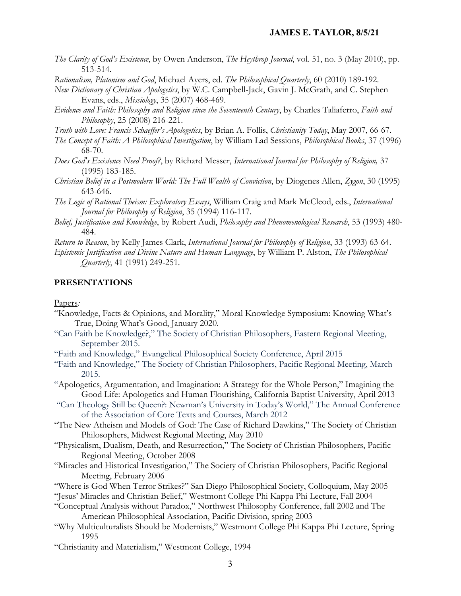#### **JAMES E. TAYLOR, 8/5/21**

*The Clarity of God's Existence*, by Owen Anderson, *The Heythrop Journal*, vol. 51, no. 3 (May 2010), pp. 513-514.

*Rationalism, Platonism and God*, Michael Ayers, ed. *The Philosophical Quarterly*, 60 (2010) 189-192.

*New Dictionary of Christian Apologetics*, by W.C. Campbell-Jack, Gavin J. McGrath, and C. Stephen Evans, eds., *Missiology*, 35 (2007) 468-469.

*Evidence and Faith: Philosophy and Religion since the Seventeenth Century*, by Charles Taliaferro, *Faith and Philosophy*, 25 (2008) 216-221.

*Truth with Love: Francis Schaeffer's Apologetics*, by Brian A. Follis, *Christianity Today*, May 2007, 66-67.

- *The Concept of Faith: A Philosophical Investigation*, by William Lad Sessions, *Philosophical Books*, 37 (1996) 68-70.
- *Does God's Existence Need Proof?*, by Richard Messer, *International Journal for Philosophy of Religion,* 37 (1995) 183-185.
- *Christian Belief in a Postmodern World: The Full Wealth of Conviction*, by Diogenes Allen, *Zygon*, 30 (1995) 643-646.
- *The Logic of Rational Theism: Exploratory Essays*, William Craig and Mark McCleod, eds., *International Journal for Philosophy of Religion*, 35 (1994) 116-117.
- *Belief, Justification and Knowledge*, by Robert Audi, *Philosophy and Phenomenological Research*, 53 (1993) 480- 484.

*Return to Reason*, by Kelly James Clark, *International Journal for Philosophy of Religion*, 33 (1993) 63-64.

*Epistemic Justification and Divine Nature and Human Language*, by William P. Alston, *The Philosophical Quarterly*, 41 (1991) 249-251.

#### **PRESENTATIONS**

#### Papers*:*

- "Knowledge, Facts & Opinions, and Morality," Moral Knowledge Symposium: Knowing What's True, Doing What's Good, January 2020.
- "Can Faith be Knowledge?," The Society of Christian Philosophers, Eastern Regional Meeting, September 2015.
- "Faith and Knowledge," Evangelical Philosophical Society Conference, April 2015
- "Faith and Knowledge," The Society of Christian Philosophers, Pacific Regional Meeting, March 2015.
- "Apologetics, Argumentation, and Imagination: A Strategy for the Whole Person," Imagining the Good Life: Apologetics and Human Flourishing, California Baptist University, April 2013
- "Can Theology Still be Queen?: Newman's University in Today's World," The Annual Conference of the Association of Core Texts and Courses, March 2012
- "The New Atheism and Models of God: The Case of Richard Dawkins," The Society of Christian Philosophers, Midwest Regional Meeting, May 2010
- "Physicalism, Dualism, Death, and Resurrection," The Society of Christian Philosophers, Pacific Regional Meeting, October 2008
- "Miracles and Historical Investigation," The Society of Christian Philosophers, Pacific Regional Meeting, February 2006
- "Where is God When Terror Strikes?" San Diego Philosophical Society, Colloquium, May 2005

"Jesus' Miracles and Christian Belief," Westmont College Phi Kappa Phi Lecture, Fall 2004

- "Conceptual Analysis without Paradox," Northwest Philosophy Conference, fall 2002 and The American Philosophical Association, Pacific Division, spring 2003
- "Why Multiculturalists Should be Modernists," Westmont College Phi Kappa Phi Lecture, Spring 1995
- "Christianity and Materialism," Westmont College, 1994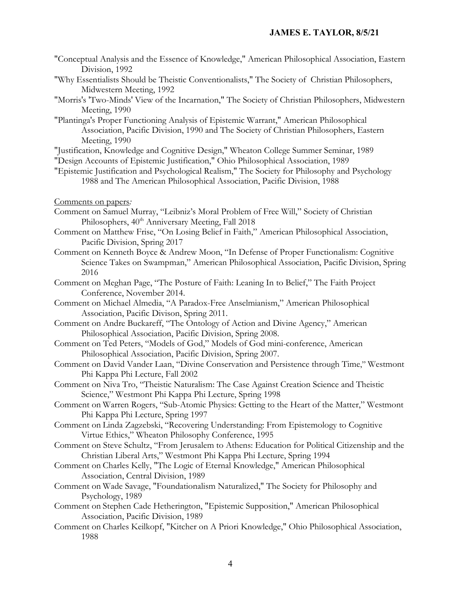### **JAMES E. TAYLOR, 8/5/21**

- "Conceptual Analysis and the Essence of Knowledge," American Philosophical Association, Eastern Division, 1992
- "Why Essentialists Should be Theistic Conventionalists," The Society of Christian Philosophers, Midwestern Meeting, 1992
- "Morris's 'Two-Minds' View of the Incarnation," The Society of Christian Philosophers, Midwestern Meeting, 1990
- "Plantinga's Proper Functioning Analysis of Epistemic Warrant," American Philosophical Association, Pacific Division, 1990 and The Society of Christian Philosophers, Eastern Meeting, 1990
- "Justification, Knowledge and Cognitive Design," Wheaton College Summer Seminar, 1989
- "Design Accounts of Epistemic Justification," Ohio Philosophical Association, 1989
- "Epistemic Justification and Psychological Realism," The Society for Philosophy and Psychology 1988 and The American Philosophical Association, Pacific Division, 1988

Comments on papers*:*

- Comment on Samuel Murray, "Leibniz's Moral Problem of Free Will," Society of Christian Philosophers,  $40<sup>th</sup>$  Anniversary Meeting, Fall 2018
- Comment on Matthew Frise, "On Losing Belief in Faith," American Philosophical Association, Pacific Division, Spring 2017
- Comment on Kenneth Boyce & Andrew Moon, "In Defense of Proper Functionalism: Cognitive Science Takes on Swampman," American Philosophical Association, Pacific Division, Spring 2016
- Comment on Meghan Page, "The Posture of Faith: Leaning In to Belief," The Faith Project Conference, November 2014.
- Comment on Michael Almedia, "A Paradox-Free Anselmianism," American Philosophical Association, Pacific Divison, Spring 2011.
- Comment on Andre Buckareff, "The Ontology of Action and Divine Agency," American Philosophical Association, Pacific Division, Spring 2008.
- Comment on Ted Peters, "Models of God," Models of God mini-conference, American Philosophical Association, Pacific Division, Spring 2007.
- Comment on David Vander Laan, "Divine Conservation and Persistence through Time," Westmont Phi Kappa Phi Lecture, Fall 2002
- Comment on Niva Tro, "Theistic Naturalism: The Case Against Creation Science and Theistic Science," Westmont Phi Kappa Phi Lecture, Spring 1998
- Comment on Warren Rogers, "Sub-Atomic Physics: Getting to the Heart of the Matter," Westmont Phi Kappa Phi Lecture, Spring 1997
- Comment on Linda Zagzebski, "Recovering Understanding: From Epistemology to Cognitive Virtue Ethics," Wheaton Philosophy Conference, 1995
- Comment on Steve Schultz, "From Jerusalem to Athens: Education for Political Citizenship and the Christian Liberal Arts," Westmont Phi Kappa Phi Lecture, Spring 1994
- Comment on Charles Kelly, "The Logic of Eternal Knowledge," American Philosophical Association, Central Division, 1989
- Comment on Wade Savage, "Foundationalism Naturalized," The Society for Philosophy and Psychology, 1989
- Comment on Stephen Cade Hetherington, "Epistemic Supposition," American Philosophical Association, Pacific Division, 1989
- Comment on Charles Keilkopf, "Kitcher on A Priori Knowledge," Ohio Philosophical Association, 1988